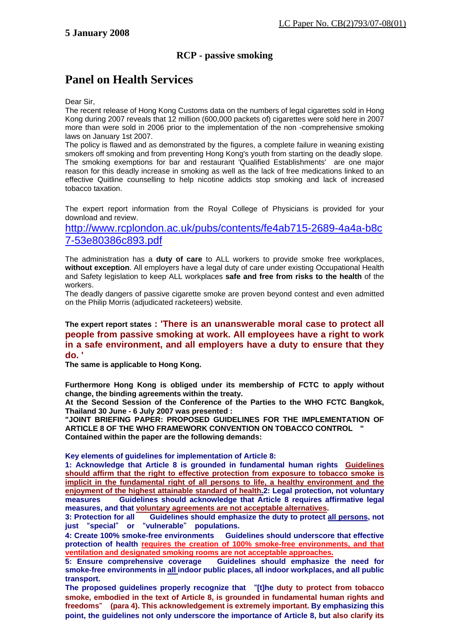## **RCP - passive smoking**

## **Panel on Health Services**

## Dear Sir,

The recent release of Hong Kong Customs data on the numbers of legal cigarettes sold in Hong Kong during 2007 reveals that 12 million (600,000 packets of) cigarettes were sold here in 2007 more than were sold in 2006 prior to the implementation of the non -comprehensive smoking laws on January 1st 2007.

The policy is flawed and as demonstrated by the figures, a complete failure in weaning existing smokers off smoking and from preventing Hong Kong's youth from starting on the deadly slope. The smoking exemptions for bar and restaurant 'Qualified Establishments' are one major reason for this deadly increase in smoking as well as the lack of free medications linked to an effective Quitline counselling to help nicotine addicts stop smoking and lack of increased tobacco taxation.

The expert report information from the Royal College of Physicians is provided for your download and review.

http://www.rcplondon.ac.uk/pubs/contents/fe4ab715-2689-4a4a-b8c 7-53e80386c893.pdf

The administration has a **duty of care** to ALL workers to provide smoke free workplaces, **without exception**. All employers have a legal duty of care under existing Occupational Health and Safety legislation to keep ALL workplaces **safe and free from risks to the health** of the workers.

The deadly dangers of passive cigarette smoke are proven beyond contest and even admitted on the Philip Morris (adjudicated racketeers) website.

## **The expert report states : 'There is an unanswerable moral case to protect all people from passive smoking at work. All employees have a right to work in a safe environment, and all employers have a duty to ensure that they do. '**

**The same is applicable to Hong Kong.** 

**Furthermore Hong Kong is obliged under its membership of FCTC to apply without change, the binding agreements within the treaty.** 

**At the Second Session of the Conference of the Parties to the WHO FCTC Bangkok, Thailand 30 June - 6 July 2007 was presented :** 

**"JOINT BRIEFING PAPER: PROPOSED GUIDELINES FOR THE IMPLEMENTATION OF ARTICLE 8 OF THE WHO FRAMEWORK CONVENTION ON TOBACCO CONTROL " Contained within the paper are the following demands:** 

**Key elements of guidelines for implementation of Article 8:** 

**1: Acknowledge that Article 8 is grounded in fundamental human rights Guidelines should affirm that the right to effective protection from exposure to tobacco smoke is implicit in the fundamental right of all persons to life, a healthy environment and the enjoyment of the highest attainable standard of health.2: Legal protection, not voluntary measures Guidelines should acknowledge that Article 8 requires affirmative legal measures, and that voluntary agreements are not acceptable alternatives.**

**3: Protection for all Guidelines should emphasize the duty to protect all persons, not just** "**special**" **or** "**vulnerable**" **populations.** 

**4: Create 100% smoke-free environments Guidelines should underscore that effective protection of health requires the creation of 100% smoke-free environments, and that ventilation and designated smoking rooms are not acceptable approaches.**

**5: Ensure comprehensive coverage Guidelines should emphasize the need for smoke-free environments in all indoor public places, all indoor workplaces, and all public transport.** 

**The proposed guidelines properly recognize that** "**[t]he duty to protect from tobacco smoke, embodied in the text of Article 8, is grounded in fundamental human rights and freedoms**" **(para 4). This acknowledgement is extremely important. By emphasizing this point, the guidelines not only underscore the importance of Article 8, but also clarify its**